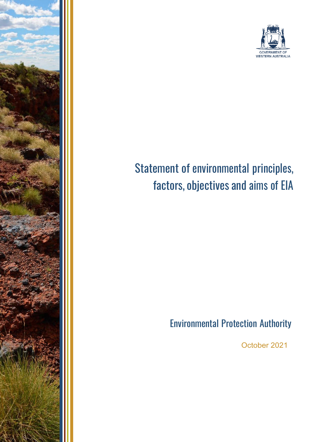



# Statement of environmental principles, factors, objectives and aims of EIA

# Environmental Protection Authority

October 2021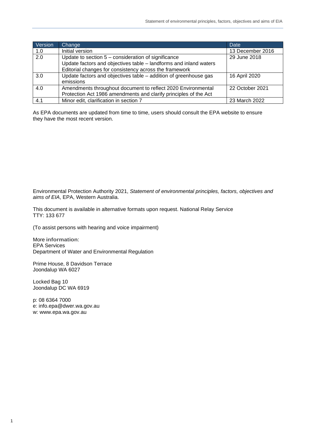| Version | Change                                                            | Date             |
|---------|-------------------------------------------------------------------|------------------|
| 1.0     | Initial version                                                   | 13 December 2016 |
| 2.0     | Update to section $5$ – consideration of significance             | 29 June 2018     |
|         | Update factors and objectives table - landforms and inland waters |                  |
|         | Editorial changes for consistency across the framework            |                  |
| 3.0     | Update factors and objectives table - addition of greenhouse gas  | 16 April 2020    |
|         | emissions                                                         |                  |
| 4.0     | Amendments throughout document to reflect 2020 Environmental      | 22 October 2021  |
|         | Protection Act 1986 amendments and clarify principles of the Act  |                  |
| 4.1     | Minor edit, clarification in section 7                            | 23 March 2022    |

As EPA documents are updated from time to time, users should consult the EPA website to ensure they have the most recent version.

Environmental Protection Authority 2021, *Statement of environmental principles, factors, objectives and aims of EIA*, EPA, Western Australia.

This document is available in alternative formats upon request. National Relay Service TTY: 133 677

(To assist persons with hearing and voice impairment)

More **information**: EPA Services Department of Water and Environmental Regulation

Prime House, 8 Davidson Terrace Joondalup WA 6027

Locked Bag 10 Joondalup DC WA 6919

p: 08 6364 7000 e: [info.epa@dwer.wa.gov.au](mailto:info.epa@dwer.wa.gov.au) w: [www.epa.wa.gov.au](http://www.epa.wa.gov.au/)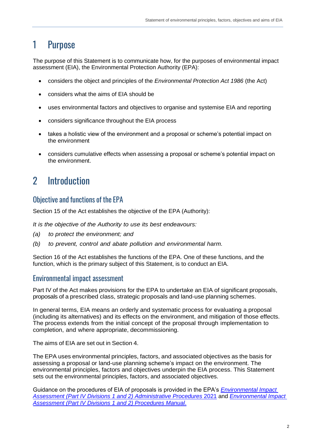### 1 Purpose

The purpose of this Statement is to communicate how, for the purposes of environmental impact assessment (EIA), the Environmental Protection Authority (EPA):

- considers the object and principles of the *Environmental Protection Act 1986* (the Act)
- considers what the aims of EIA should be
- uses environmental factors and objectives to organise and systemise EIA and reporting
- considers significance throughout the EIA process
- takes a holistic view of the environment and a proposal or scheme's potential impact on the environment
- considers cumulative effects when assessing a proposal or scheme's potential impact on the environment.

# 2 Introduction

#### Objective and functions of the EPA

Section 15 of the Act establishes the objective of the EPA (Authority):

*It is the objective of the Authority to use its best endeavours:*

- *(a) to protect the environment; and*
- *(b) to prevent, control and abate pollution and environmental harm.*

Section 16 of the Act establishes the functions of the EPA. One of these functions, and the function, which is the primary subject of this Statement, is to conduct an EIA.

#### Environmental impact assessment

Part IV of the Act makes provisions for the EPA to undertake an EIA of significant proposals, proposals of a prescribed class, strategic proposals and land-use planning schemes.

In general terms, EIA means an orderly and systematic process for evaluating a proposal (including its alternatives) and its effects on the environment, and mitigation of those effects. The process extends from the initial concept of the proposal through implementation to completion, and where appropriate, decommissioning.

The aims of EIA are set out in Section 4.

The EPA uses environmental principles, factors, and associated objectives as the basis for assessing a proposal or land-use planning scheme's impact on the environment. The environmental principles, factors and objectives underpin the EIA process. This Statement sets out the environmental principles, factors, and associated objectives.

Guidance on the procedures of EIA of proposals is provided in the EPA's *[Environmental Impact](https://www.epa.wa.gov.au/administrative-procedures)  [Assessment \(Part IV Divisions 1 and 2\) Administrative Procedures](https://www.epa.wa.gov.au/administrative-procedures)* 2021 and *[Environmental Impact](https://www.epa.wa.gov.au/procedures-manual)  [Assessment \(Part IV Divisions 1 and 2\) Procedures Manual](https://www.epa.wa.gov.au/procedures-manual)*.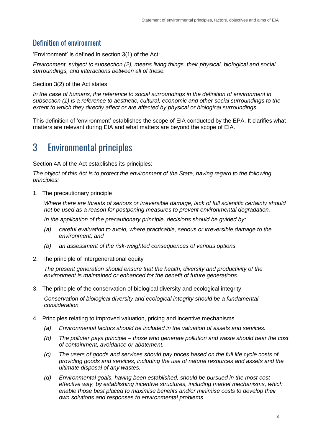#### Definition of environment

'Environment' is defined in section 3(1) of the Act:

*Environment, subject to subsection (2), means living things, their physical, biological and social surroundings, and interactions between all of these.*

Section 3(2) of the Act states:

*In the case of humans, the reference to social surroundings in the definition of environment in subsection (1) is a reference to aesthetic, cultural, economic and other social surroundings to the extent to which they directly affect or are affected by physical or biological surroundings.*

This definition of 'environment' establishes the scope of EIA conducted by the EPA. It clarifies what matters are relevant during EIA and what matters are beyond the scope of EIA.

### 3 Environmental principles

Section 4A of the Act establishes its principles:

*The object of this Act is to protect the environment of the State, having regard to the following principles:*

1. The precautionary principle

*Where there are threats of serious or irreversible damage, lack of full scientific certainty should not be used as a reason for postponing measures to prevent environmental degradation.*

*In the application of the precautionary principle, decisions should be guided by:*

- *(a) careful evaluation to avoid, where practicable, serious or irreversible damage to the environment; and*
- *(b) an assessment of the risk-weighted consequences of various options.*
- 2. The principle of intergenerational equity

*The present generation should ensure that the health, diversity and productivity of the environment is maintained or enhanced for the benefit of future generations.*

3. The principle of the conservation of biological diversity and ecological integrity

*Conservation of biological diversity and ecological integrity should be a fundamental consideration.*

- 4. Principles relating to improved valuation, pricing and incentive mechanisms
	- *(a) Environmental factors should be included in the valuation of assets and services.*
	- *(b) The polluter pays principle – those who generate pollution and waste should bear the cost of containment, avoidance or abatement.*
	- *(c) The users of goods and services should pay prices based on the full life cycle costs of providing goods and services, including the use of natural resources and assets and the ultimate disposal of any wastes.*
	- *(d) Environmental goals, having been established, should be pursued in the most cost effective way, by establishing incentive structures, including market mechanisms, which enable those best placed to maximise benefits and/or minimise costs to develop their own solutions and responses to environmental problems.*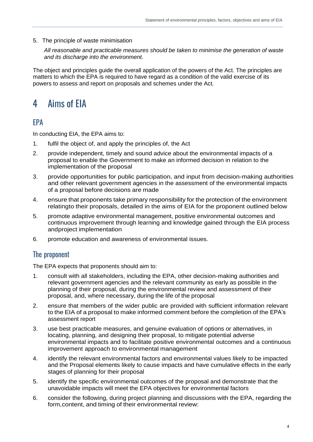5. The principle of waste minimisation

*All reasonable and practicable measures should be taken to minimise the generation of waste and its discharge into the environment.*

The object and principles guide the overall application of the powers of the Act. The principles are matters to which the EPA is required to have regard as a condition of the valid exercise of its powers to assess and report on proposals and schemes under the Act.

### 4 Aims of EIA

#### EPA

In conducting EIA, the EPA aims to:

- 1. fulfil the object of, and apply the principles of, the Act
- 2. provide independent, timely and sound advice about the environmental impacts of a proposal to enable the Government to make an informed decision in relation to the implementation of the proposal
- 3. provide opportunities for public participation, and input from decision-making authorities and other relevant government agencies in the assessment of the environmental impacts of a proposal before decisions are made
- 4. ensure that proponents take primary responsibility for the protection of the environment relatingto their proposals, detailed in the aims of EIA for the proponent outlined below
- 5. promote adaptive environmental management, positive environmental outcomes and continuous improvement through learning and knowledge gained through the EIA process andproject implementation
- 6. promote education and awareness of environmental issues.

#### The proponent

The EPA expects that proponents should aim to:

- 1. consult with all stakeholders, including the EPA, other decision-making authorities and relevant government agencies and the relevant community as early as possible in the planning of their proposal, during the environmental review and assessment of their proposal, and, where necessary, during the life of the proposal
- 2. ensure that members of the wider public are provided with sufficient information relevant to the EIA of a proposal to make informed comment before the completion of the EPA's assessment report
- 3. use best practicable measures, and genuine evaluation of options or alternatives, in locating, planning, and designing their proposal, to mitigate potential adverse environmental impacts and to facilitate positive environmental outcomes and a continuous improvement approach to environmental management
- 4. identify the relevant environmental factors and environmental values likely to be impacted and the Proposal elements likely to cause impacts and have cumulative effects in the early stages of planning for their proposal
- 5. identify the specific environmental outcomes of the proposal and demonstrate that the unavoidable impacts will meet the EPA objectives for environmental factors
- 6. consider the following, during project planning and discussions with the EPA, regarding the form,content, and timing of their environmental review: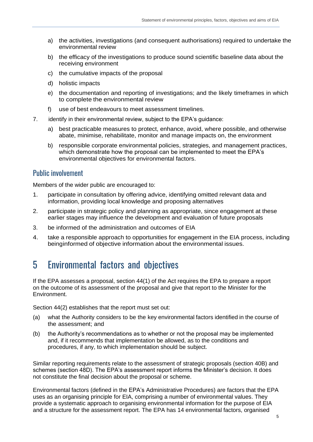- a) the activities, investigations (and consequent authorisations) required to undertake the environmental review
- b) the efficacy of the investigations to produce sound scientific baseline data about the receiving environment
- c) the cumulative impacts of the proposal
- d) holistic impacts
- e) the documentation and reporting of investigations; and the likely timeframes in which to complete the environmental review
- f) use of best endeavours to meet assessment timelines.
- 7. identify in their environmental review, subject to the EPA's guidance:
	- a) best practicable measures to protect, enhance, avoid, where possible, and otherwise abate, minimise, rehabilitate, monitor and manage impacts on, the environment
	- b) responsible corporate environmental policies, strategies, and management practices, which demonstrate how the proposal can be implemented to meet the EPA's environmental objectives for environmental factors.

#### Public involvement

Members of the wider public are encouraged to:

- 1. participate in consultation by offering advice, identifying omitted relevant data and information, providing local knowledge and proposing alternatives
- 2. participate in strategic policy and planning as appropriate, since engagement at these earlier stages may influence the development and evaluation of future proposals
- 3. be informed of the administration and outcomes of EIA
- 4. take a responsible approach to opportunities for engagement in the EIA process, including beinginformed of objective information about the environmental issues.

### 5 Environmental factors and objectives

If the EPA assesses a proposal, section 44(1) of the Act requires the EPA to prepare a report on the outcome of its assessment of the proposal and give that report to the Minister for the Environment.

Section 44(2) establishes that the report must set out:

- (a) what the Authority considers to be the key environmental factors identified in the course of the assessment; and
- (b) the Authority's recommendations as to whether or not the proposal may be implemented and, if it recommends that implementation be allowed, as to the conditions and procedures, if any, to which implementation should be subject.

Similar reporting requirements relate to the assessment of strategic proposals (section 40B) and schemes (section 48D). The EPA's assessment report informs the Minister's decision. It does not constitute the final decision about the proposal or scheme.

Environmental factors (defined in the EPA's Administrative Procedures) are factors that the EPA uses as an organising principle for EIA, comprising a number of environmental values. They provide a systematic approach to organising environmental information for the purpose of EIA and a structure for the assessment report. The EPA has 14 environmental factors, organised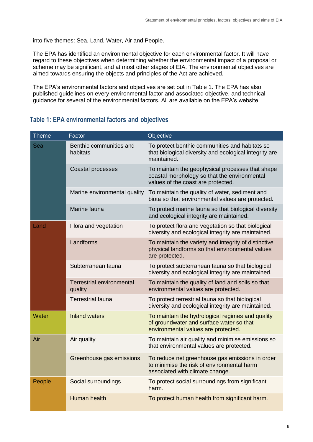into five themes: Sea, Land, Water, Air and People.

The EPA has identified an environmental objective for each environmental factor. It will have regard to these objectives when determining whether the environmental impact of a proposal or scheme may be significant, and at most other stages of EIA. The environmental objectives are aimed towards ensuring the objects and principles of the Act are achieved.

The EPA's environmental factors and objectives are set out in Table 1. The EPA has also published guidelines on every environmental factor and associated objective, and technical guidance for several of the environmental factors. All are available on the EPA's website.

#### **Table 1: EPA environmental factors and objectives**

| <b>Theme</b> | Factor                                      | Objective                                                                                                                              |
|--------------|---------------------------------------------|----------------------------------------------------------------------------------------------------------------------------------------|
| Sea          | Benthic communities and<br>habitats         | To protect benthic communities and habitats so<br>that biological diversity and ecological integrity are<br>maintained.                |
|              | Coastal processes                           | To maintain the geophysical processes that shape<br>coastal morphology so that the environmental<br>values of the coast are protected. |
|              | Marine environmental quality                | To maintain the quality of water, sediment and<br>biota so that environmental values are protected.                                    |
|              | Marine fauna                                | To protect marine fauna so that biological diversity<br>and ecological integrity are maintained.                                       |
| Land         | Flora and vegetation                        | To protect flora and vegetation so that biological<br>diversity and ecological integrity are maintained.                               |
|              | Landforms                                   | To maintain the variety and integrity of distinctive<br>physical landforms so that environmental values<br>are protected.              |
|              | Subterranean fauna                          | To protect subterranean fauna so that biological<br>diversity and ecological integrity are maintained.                                 |
|              | <b>Terrestrial environmental</b><br>quality | To maintain the quality of land and soils so that<br>environmental values are protected.                                               |
|              | <b>Terrestrial fauna</b>                    | To protect terrestrial fauna so that biological<br>diversity and ecological integrity are maintained.                                  |
| Water        | <b>Inland waters</b>                        | To maintain the hydrological regimes and quality<br>of groundwater and surface water so that<br>environmental values are protected.    |
| Air          | Air quality                                 | To maintain air quality and minimise emissions so<br>that environmental values are protected.                                          |
|              | Greenhouse gas emissions                    | To reduce net greenhouse gas emissions in order<br>to minimise the risk of environmental harm<br>associated with climate change.       |
| People       | Social surroundings                         | To protect social surroundings from significant<br>harm.                                                                               |
|              | Human health                                | To protect human health from significant harm.                                                                                         |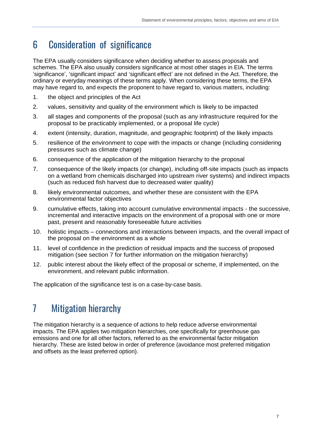### 6 Consideration of significance

The EPA usually considers significance when deciding whether to assess proposals and schemes. The EPA also usually considers significance at most other stages in EIA. The terms 'significance', 'significant impact' and 'significant effect' are not defined in the Act. Therefore, the ordinary or everyday meanings of these terms apply. When considering these terms, the EPA may have regard to, and expects the proponent to have regard to, various matters, including:

- 1. the object and principles of the Act
- 2. values, sensitivity and quality of the environment which is likely to be impacted
- 3. all stages and components of the proposal (such as any infrastructure required for the proposal to be practicably implemented, or a proposal life cycle)
- 4. extent (intensity, duration, magnitude, and geographic footprint) of the likely impacts
- 5. resilience of the environment to cope with the impacts or change (including considering pressures such as climate change)
- 6. consequence of the application of the mitigation hierarchy to the proposal
- 7. consequence of the likely impacts (or change), including off-site impacts (such as impacts on a wetland from chemicals discharged into upstream river systems) and indirect impacts (such as reduced fish harvest due to decreased water quality)
- 8. likely environmental outcomes, and whether these are consistent with the EPA environmental factor objectives
- 9. cumulative effects, taking into account cumulative environmental impacts the successive, incremental and interactive impacts on the environment of a proposal with one or more past, present and reasonably foreseeable future activities
- 10. holistic impacts connections and interactions between impacts, and the overall impact of the proposal on the environment as a whole
- 11. level of confidence in the prediction of residual impacts and the success of proposed mitigation (see section 7 for further information on the mitigation hierarchy)
- 12. public interest about the likely effect of the proposal or scheme, if implemented, on the environment, and relevant public information.

The application of the significance test is on a case-by-case basis.

# 7 Mitigation hierarchy

The mitigation hierarchy is a sequence of actions to help reduce adverse environmental impacts. The EPA applies two mitigation hierarchies, one specifically for greenhouse gas emissions and one for all other factors, referred to as the environmental factor mitigation hierarchy. These are listed below in order of preference (avoidance most preferred mitigation and offsets as the least preferred option).